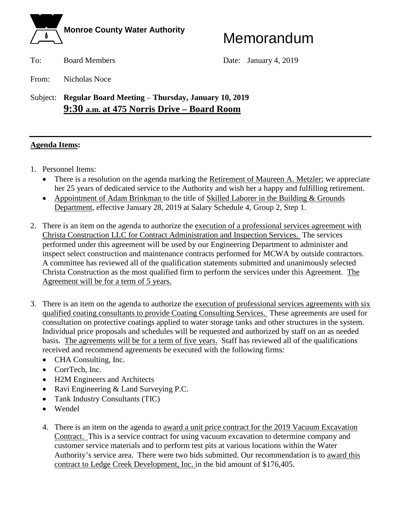

To: Board Members Date: January 4, 2019

From: Nicholas Noce

Subject: **Regular Board Meeting** – **Thursday, January 10, 2019 9:30 a.m. at 475 Norris Drive – Board Room**

### **Agenda Items:**

- 1. Personnel Items:
	- There is a resolution on the agenda marking the Retirement of Maureen A. Metzler; we appreciate her 25 years of dedicated service to the Authority and wish her a happy and fulfilling retirement.
	- Appointment of Adam Brinkman to the title of Skilled Laborer in the Building & Grounds Department, effective January 28, 2019 at Salary Schedule 4, Group 2, Step 1.
- 2. There is an item on the agenda to authorize the execution of a professional services agreement with Christa Construction LLC for Contract Administration and Inspection Services. The services performed under this agreement will be used by our Engineering Department to administer and inspect select construction and maintenance contracts performed for MCWA by outside contractors. A committee has reviewed all of the qualification statements submitted and unanimously selected Christa Construction as the most qualified firm to perform the services under this Agreement. The Agreement will be for a term of 5 years.
- 3. There is an item on the agenda to authorize the execution of professional services agreements with six qualified coating consultants to provide Coating Consulting Services. These agreements are used for consultation on protective coatings applied to water storage tanks and other structures in the system. Individual price proposals and schedules will be requested and authorized by staff on an as needed basis. The agreements will be for a term of five years. Staff has reviewed all of the qualifications received and recommend agreements be executed with the following firms:
	- CHA Consulting, Inc.
	- CorrTech, Inc.
	- H2M Engineers and Architects
	- Ravi Engineering & Land Surveying P.C.
	- Tank Industry Consultants (TIC)
	- Wendel
	- 4. There is an item on the agenda to award a unit price contract for the 2019 Vacuum Excavation Contract. This is a service contract for using vacuum excavation to determine company and customer service materials and to perform test pits at various locations within the Water Authority's service area. There were two bids submitted. Our recommendation is to award this contract to Ledge Creek Development, Inc. in the bid amount of \$176,405.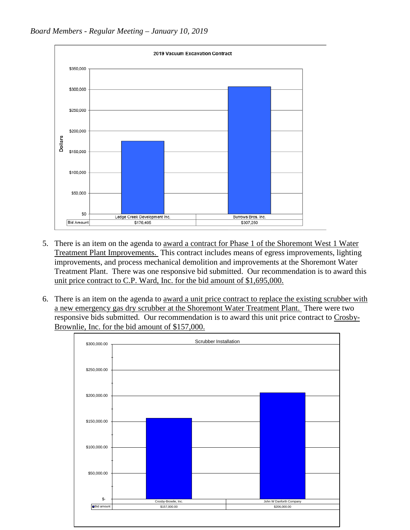

- 5. There is an item on the agenda to award a contract for Phase 1 of the Shoremont West 1 Water Treatment Plant Improvements. This contract includes means of egress improvements, lighting improvements, and process mechanical demolition and improvements at the Shoremont Water Treatment Plant. There was one responsive bid submitted. Our recommendation is to award this unit price contract to C.P. Ward, Inc. for the bid amount of \$1,695,000.
- 6. There is an item on the agenda to award a unit price contract to replace the existing scrubber with a new emergency gas dry scrubber at the Shoremont Water Treatment Plant. There were two responsive bids submitted. Our recommendation is to award this unit price contract to Crosby-Brownlie, Inc. for the bid amount of \$157,000.

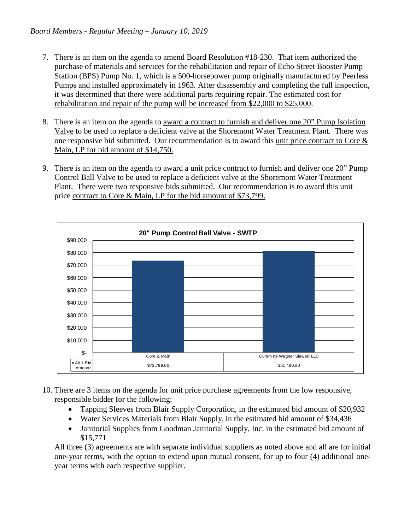- 7. There is an item on the agenda to amend Board Resolution #18-230. That item authorized the purchase of materials and services for the rehabilitation and repair of Echo Street Booster Pump Station (BPS) Pump No. 1, which is a 500-horsepower pump originally manufactured by Peerless Pumps and installed approximately in 1963. After disassembly and completing the full inspection, it was determined that there were additional parts requiring repair. The estimated cost for rehabilitation and repair of the pump will be increased from \$22,000 to \$25,000.
- 8. There is an item on the agenda to award a contract to furnish and deliver one 20" Pump Isolation Valve to be used to replace a deficient valve at the Shoremont Water Treatment Plant. There was one responsive bid submitted. Our recommendation is to award this unit price contract to Core  $\&$ Main, LP for bid amount of \$14,750.
- 9. There is an item on the agenda to award a unit price contract to furnish and deliver one 20" Pump Control Ball Valve to be used to replace a deficient valve at the Shoremont Water Treatment Plant. There were two responsive bids submitted. Our recommendation is to award this unit price contract to Core & Main, LP for the bid amount of \$73,799.



- 10. There are 3 items on the agenda for unit price purchase agreements from the low responsive, responsible bidder for the following:
	- Tapping Sleeves from Blair Supply Corporation, in the estimated bid amount of \$20,932
	- Water Services Materials from Blair Supply, in the estimated bid amount of \$34,436
	- Janitorial Supplies from Goodman Janitorial Supply, Inc. in the estimated bid amount of \$15,771

All three (3) agreements are with separate individual suppliers as noted above and all are for initial one-year terms, with the option to extend upon mutual consent, for up to four (4) additional oneyear terms with each respective supplier.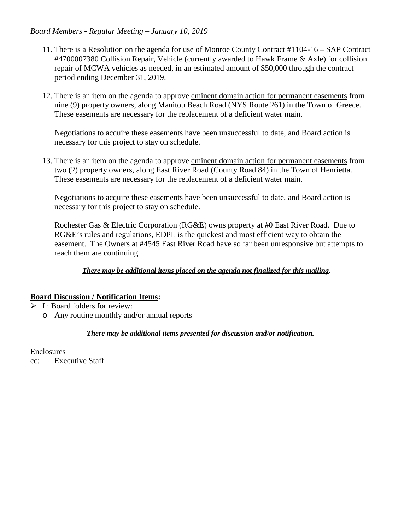#### *Board Members - Regular Meeting – January 10, 2019*

- 11. There is a Resolution on the agenda for use of Monroe County Contract #1104-16 SAP Contract #4700007380 Collision Repair, Vehicle (currently awarded to Hawk Frame & Axle) for collision repair of MCWA vehicles as needed, in an estimated amount of \$50,000 through the contract period ending December 31, 2019.
- 12. There is an item on the agenda to approve eminent domain action for permanent easements from nine (9) property owners, along Manitou Beach Road (NYS Route 261) in the Town of Greece. These easements are necessary for the replacement of a deficient water main.

Negotiations to acquire these easements have been unsuccessful to date, and Board action is necessary for this project to stay on schedule.

13. There is an item on the agenda to approve eminent domain action for permanent easements from two (2) property owners, along East River Road (County Road 84) in the Town of Henrietta. These easements are necessary for the replacement of a deficient water main.

Negotiations to acquire these easements have been unsuccessful to date, and Board action is necessary for this project to stay on schedule.

Rochester Gas & Electric Corporation (RG&E) owns property at #0 East River Road. Due to RG&E's rules and regulations, EDPL is the quickest and most efficient way to obtain the easement. The Owners at #4545 East River Road have so far been unresponsive but attempts to reach them are continuing.

#### *There may be additional items placed on the agenda not finalized for this mailing.*

#### **Board Discussion / Notification Items:**

- $\triangleright$  In Board folders for review:
	- o Any routine monthly and/or annual reports

#### *There may be additional items presented for discussion and/or notification.*

Enclosures cc: Executive Staff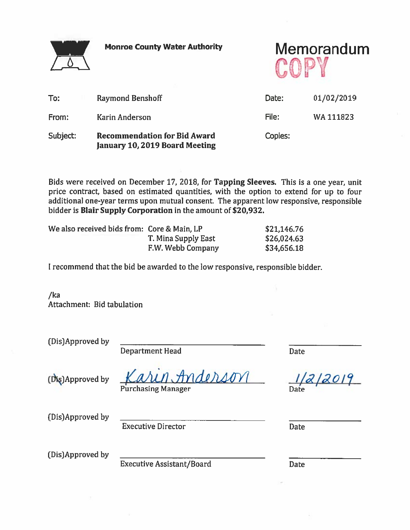

**Monroe County Water Authority** 

Memorandum

| To:      | <b>Raymond Benshoff</b>                                               | Date:   | 01/02/2019 |
|----------|-----------------------------------------------------------------------|---------|------------|
| From:    | Karin Anderson                                                        | File:   | WA 111823  |
| Subject: | <b>Recommendation for Bid Award</b><br>January 10, 2019 Board Meeting | Copies: |            |

Bids were received on December 17, 2018, for Tapping Sleeves. This is a one year, unit price contract, based on estimated quantities, with the option to extend for up to four additional one-year terms upon mutual consent. The apparent low responsive, responsible bidder is Blair Supply Corporation in the amount of \$20,932.

| We also received bids from: Core & Main, LP |                     | \$21,146.76 |
|---------------------------------------------|---------------------|-------------|
|                                             | T. Mina Supply East | \$26,024.63 |
|                                             | F.W. Webb Company   | \$34,656.18 |

I recommend that the bid be awarded to the low responsive, responsible bidder.

 $/ka$ Attachment: Bid tabulation

(Dis)Approved by

**Department Head** 

**Date** 

(Dis)Approved by

1. Anderson

Date

**Purchasing Manager** 

(Dis)Approved by

**Executive Director** 

Date

(Dis)Approved by

**Executive Assistant/Board** 

Date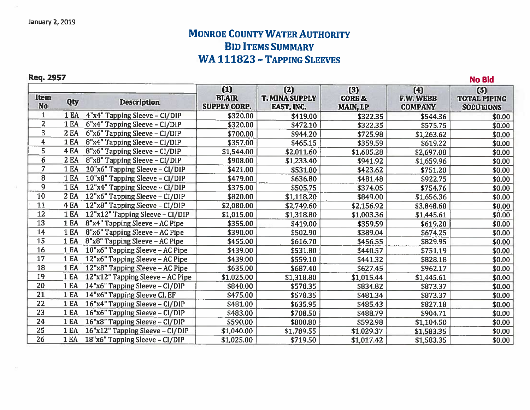## **MONROE COUNTY WATER AUTHORITY BID ITEMS SUMMARY** WA 111823 - TAPPING SLEEVES

**No Bid** 

### Req. 2957

| Item<br><b>No</b>       | Qty         | <b>Description</b>                  | $(1)$<br><b>BLAIR</b><br><b>SUPPLY CORP.</b> | (2)<br><b>T. MINA SUPPLY</b><br>EAST, INC. | (3)<br><b>CORE &amp;</b><br>MAIN, LP | (4)<br><b>F.W. WEBB</b><br><b>COMPANY</b> | (5)<br><b>TOTAL PIPING</b><br><b>SOEUTIONS</b> |
|-------------------------|-------------|-------------------------------------|----------------------------------------------|--------------------------------------------|--------------------------------------|-------------------------------------------|------------------------------------------------|
| 1                       | 1 EA        | 4"x4" Tapping Sleeve - CI/DIP       | \$320.00                                     | \$419.00                                   | \$322.35                             | \$544.36                                  | \$0.00                                         |
| $\overline{2}$          | 1 EA        | 6"x4" Tapping Sleeve - CI/DIP       | \$320.00                                     | \$472.10                                   | \$322.35                             | \$575.75                                  | \$0.00                                         |
| 3                       | 2 EA        | 6"x6" Tapping Sleeve - CI/DIP       | \$700.00                                     | \$944.20                                   | \$725.98                             | \$1,263.62                                | \$0.00                                         |
| $\overline{\mathbf{4}}$ | 1 EA        | 8"x4" Tapping Sleeve - CI/DIP       | \$357.00                                     | \$465.15                                   | \$359.59                             | \$619.22                                  | \$0.00                                         |
| 5                       | <b>4 EA</b> | 8"x6" Tapping Sleeve - CI/DIP       | \$1,544.00                                   | \$2,011.60                                 | \$1,605.28                           | \$2,697.08                                | \$0.00                                         |
| 6                       | <b>2 EA</b> | 8"x8" Tapping Sleeve - CI/DIP       | \$908.00                                     | \$1,233.40                                 | \$941.92                             | \$1,659.96                                | \$0.00                                         |
| $\overline{7}$          | 1EA         | 10"x6" Tapping Sleeve - CI/DIP      | \$421.00                                     | \$531.80                                   | \$423.62                             | \$751.20                                  | \$0.00                                         |
| 8                       | 1 EA        | 10"x8" Tapping Sleeve - CI/DIP      | \$479.00                                     | \$636.80                                   | \$481.48                             | \$922.75                                  | \$0.00                                         |
| 9                       | 1EA         | 12"x4" Tapping Sleeve - CI/DIP      | \$375.00                                     | \$505.75                                   | \$374.05                             | \$754.76                                  | \$0.00                                         |
| 10                      | 2EA         | 12"x6" Tapping Sleeve - CI/DIP      | \$820.00                                     | \$1,118.20                                 | \$849.00                             | \$1,656.36                                | \$0.00                                         |
| 11                      | <b>4 EA</b> | 12"x8" Tapping Sleeve - CI/DIP      | \$2,080.00                                   | \$2,749.60                                 | \$2,156.92                           | \$3,848.68                                | \$0.00                                         |
| 12                      | 1EA         | 12"x12" Tapping Sleeve - CI/DIP     | \$1,015.00                                   | \$1,318.80                                 | \$1,003.36                           | \$1,445.61                                | \$0.00                                         |
| 13                      | 1 EA        | $8"x4"$ Tapping Sleeve – AC Pipe    | \$355.00                                     | \$419.00                                   | \$359.59                             | \$619.20                                  | \$0.00                                         |
| 14                      | 1 EA        | 8"x6" Tapping Sleeve - AC Pipe      | \$390.00                                     | \$502.90                                   | \$389.04                             | \$674.25                                  | \$0.00                                         |
| 15                      | <b>1 EA</b> | 8"x8" Tapping Sleeve - AC Pipe.     | \$455.00                                     | \$616.70                                   | \$456.55                             | \$829.95                                  | \$0.00                                         |
| 16                      | 1 EA        | 10"x6" Tapping Sleeve - AC Pipe     | \$439.00                                     | \$531.80                                   | \$440.57                             | \$751.19                                  | \$0.00                                         |
| 17                      | 1EA         | 12"x6" Tapping Sleeve - AC Pipe     | \$439.00                                     | \$559.10                                   | \$441.32                             | \$828.18                                  | \$0.00                                         |
| 18                      | 1EA         | 12"x8" Tapping Sleeve - AC Pipe     | \$635.00                                     | \$687.40                                   | \$627.45                             | \$962.17                                  | \$0.00                                         |
| 19                      | 1 EA        | 12"x12" Tapping Sleeve - AC Pipe    | \$1,025.00                                   | \$1,318.80                                 | \$1,015.44                           | \$1,445.61                                | \$0.00                                         |
| 20                      | <b>1 EA</b> | 14"x6" Tapping Sleeve - CI/DIP      | \$840.00                                     | \$578.35                                   | \$834.82                             | \$873.37                                  | \$0.00                                         |
| 21                      | 1 EA        | 14"x6" Tapping Sleeve CI, EF        | \$475.00                                     | \$578.35                                   | \$481.34                             | \$873.37                                  | \$0.00                                         |
| 22                      | <b>1 EA</b> | 16"x4" Tapping Sleeve - CI/DIP      | \$481.00                                     | \$635.95                                   | \$485.43                             | \$827.18                                  | \$0.00                                         |
| 23                      | 1EA         | 16"x6" Tapping Sleeve - CI/DIP      | \$483.00                                     | \$708.50                                   | \$488.79                             | \$904.71                                  | \$0.00                                         |
| 24                      | 1EA         | 16"x8" Tapping Sleeve - CI/DIP      | \$590.00                                     | \$800.80                                   | \$592.98                             | \$1,104.50                                | \$0.00                                         |
| 25                      | <b>1 EA</b> | 16"x12" Tapping Sleeve - CI/DIP     | \$1,040.00                                   | \$1,789.55                                 | \$1,029.37                           | \$1,583.35                                | \$0.00                                         |
| 26                      |             | 1 EA 18"x6" Tapping Sleeve - CI/DIP | \$1.025.00                                   | \$719.50                                   | \$1.017.42                           | \$1.583.35                                | \$0.00                                         |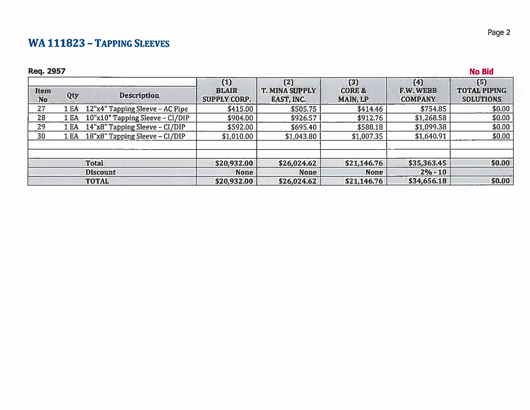## WA 111823 - TAPPING SLEEVES

## **Req. 2957**

|                          |      |                                 | $(1)$                               | (2)                                 | (3)                                  | (4)                                | (5)                                     |
|--------------------------|------|---------------------------------|-------------------------------------|-------------------------------------|--------------------------------------|------------------------------------|-----------------------------------------|
| <b>Item</b><br><b>No</b> | Qty  | <b>Description</b>              | <b>BLAIR</b><br><b>SUPPLY CORP.</b> | <b>T. MINA SUPPLY</b><br>EAST, INC. | <b>CORE &amp;</b><br><b>MAIN, LP</b> | <b>F.W. WEBB</b><br><b>COMPANY</b> | <b>TOTAL PIPING</b><br><b>SOLUTIONS</b> |
| 27                       | 1 EA | 12"x4" Tapping Sleeve – AC Pipe | \$415.00                            | \$505.75                            | \$414.46                             | \$754.85                           | \$0.00                                  |
| 28                       | 1 EA | 10"x10" Tapping Sleeve - CI/DIP | \$904.00                            | \$926.57                            | \$912.76                             | \$1,268.58                         | \$0.00                                  |
| 29                       | 1 EA | 14"x8" Tapping Sleeve - CI/DIP  | \$592.00                            | \$695.40                            | \$588.18                             | \$1,099.38                         | \$0.00                                  |
| 30                       | 1 EA | 18"x8" Tapping Sleeve - CI/DIP  | \$1,010.00                          | \$1,043.80                          | \$1,007.35                           | \$1,640.91                         | \$0.00                                  |
|                          |      | <b>Total</b>                    | \$20,932.00                         | \$26,024.62                         | \$21,146.76                          | \$35,363.45                        | \$0.00                                  |
|                          |      | <b>Discount</b>                 | <b>None</b>                         | <b>None</b>                         | <b>None</b>                          | $2% - 10$                          |                                         |
|                          |      | <b>TOTAL</b>                    | \$20,932.00                         | \$26,024.62                         | \$21,146.76                          | \$34,656.18                        | \$0.00                                  |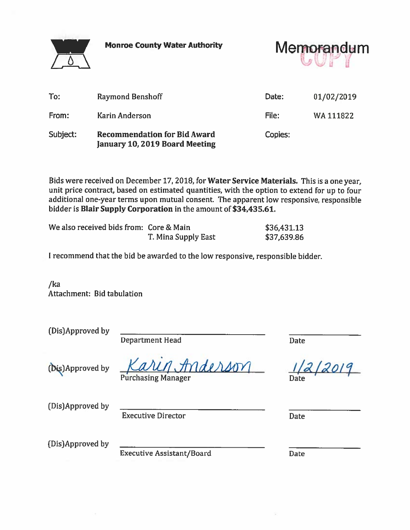**Monroe County Water Authority** 



Memorandum

| To:      | <b>Raymond Benshoff</b>                                               | Date:   | 01/02/2019 |
|----------|-----------------------------------------------------------------------|---------|------------|
| From:    | <b>Karin Anderson</b>                                                 | File:   | WA 111822  |
| Subject: | <b>Recommendation for Bid Award</b><br>January 10, 2019 Board Meeting | Copies: |            |

Bids were received on December 17, 2018, for Water Service Materials. This is a one year, unit price contract, based on estimated quantities, with the option to extend for up to four additional one-year terms upon mutual consent. The apparent low responsive, responsible bidder is Blair Supply Corporation in the amount of \$34,435.61.

| We also received bids from: Core & Main |                     | \$36,431.13 |
|-----------------------------------------|---------------------|-------------|
|                                         | T. Mina Supply East | \$37,639.86 |

I recommend that the bid be awarded to the low responsive, responsible bidder.

 $/ka$ Attachment: Bid tabulation

(Dis)Approved by

**Department Head** 

(Dis)Approved by

rderson

**Purchasing Manager** 

(Dis)Approved by

**Executive Director** 

**Date** 

Date

Date

(Dis)Approved by

**Executive Assistant/Board** 

**Date**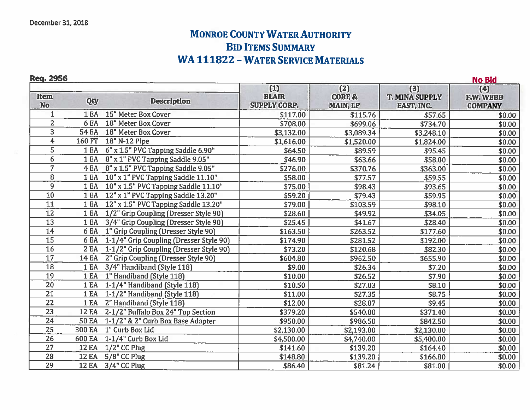## **MONROE COUNTY WATER AUTHORITY BID ITEMS SUMMARY WA 111822 - WATER SERVICE MATERIALS**

Reg. 2956

|                   | <b>Req. 2956</b><br><b>No Bid</b> |                                          |                                            |                                             |                                                   |                                           |
|-------------------|-----------------------------------|------------------------------------------|--------------------------------------------|---------------------------------------------|---------------------------------------------------|-------------------------------------------|
| Item<br><b>No</b> | Qty                               | <b>Description</b>                       | (1)<br><b>BLAIR</b><br><b>SUPPLY CORP.</b> | (2)<br><b>CORE &amp;</b><br><b>MAIN, LP</b> | (3)<br><b>T. MINA SUPPLY</b><br><b>EAST, INC.</b> | (4)<br><b>F.W. WEBB</b><br><b>COMPANY</b> |
|                   | 1 EA                              | 15" Meter Box Cover                      | \$117.00                                   | \$115.76                                    | \$57.65                                           | \$0.00                                    |
| $\overline{2}$    | 6 <sub>EA</sub>                   | 18" Meter Box Cover                      | \$708.00                                   | \$699.06                                    | \$734.70                                          | \$0.00                                    |
| 3                 | <b>54 EA</b>                      | 18" Meter Box Cover                      | \$3,132.00                                 | \$3,089.34                                  | \$3,248.10                                        | \$0.00                                    |
| $\overline{4}$    | 160 FT                            | 18" N-12 Pipe                            | \$1,616.00                                 | \$1,520.00                                  | \$1,824.00                                        | \$0.00                                    |
| 5                 | 1EA                               | 6" x 1.5" PVC Tapping Saddle 6.90"       | \$64.50                                    | \$89.59                                     | \$95.45                                           | \$0.00                                    |
| 6                 | 1EA                               | 8" x 1" PVC Tapping Saddle 9.05"         | \$46.90                                    | \$63.66                                     | \$58.00                                           | \$0.00                                    |
| $\overline{7}$    | 4 EA                              | 8" x 1.5" PVC Tapping Saddle 9.05"       | \$276.00                                   | \$370.76                                    | \$363.00                                          | \$0.00                                    |
| 8                 | 1EA                               | 10" x 1" PVC Tapping Saddle 11.10"       | \$58.00                                    | \$77.57                                     | \$59.55                                           | \$0.00                                    |
| 9                 | 1 EA                              | 10" x 1.5" PVC Tapping Saddle 11.10"     | \$75.00                                    | \$98.43                                     | \$93.65                                           | \$0.00                                    |
| 10                | 1EA                               | 12" x 1" PVC Tapping Saddle 13.20"       | \$59.20                                    | \$79.43                                     | \$59.95                                           | \$0.00                                    |
| 11                | 1EA                               | 12" x 1.5" PVC Tapping Saddle 13.20"     | \$79.00                                    | \$103.59                                    | \$98.10                                           | \$0.00                                    |
| 12                | 1 EA                              | 1/2" Grip Coupling (Dresser Style 90)    | \$28.60                                    | \$49.92                                     | \$34.05                                           | \$0.00                                    |
| 13                | 1EA                               | 3/4" Grip Coupling (Dresser Style 90)    | \$25.45                                    | \$41.67                                     | \$28.40                                           | \$0.00                                    |
| 14                |                                   | 6 EA 1" Grip Coupling (Dresser Style 90) | \$163.50                                   | \$263.52                                    | \$177.60                                          | \$0.00                                    |
| 15                | 6 EA                              | 1-1/4" Grip Coupling (Dresser Style 90)  | \$174.90                                   | \$281.52                                    | \$192.00                                          | \$0.00                                    |
| 16                | 2EA                               | 1-1/2" Grip Coupling (Dresser Style 90)  | \$73.20                                    | \$120.68                                    | \$82.30                                           | \$0.00                                    |
| 17                | <b>14 EA</b>                      | 2" Grip Coupling (Dresser Style 90)      | \$604.80                                   | \$962.50                                    | \$655.90                                          | \$0.00                                    |
| <b>18</b>         | 1EA                               | 3/4" Handiband (Style 118)               | \$9.00                                     | \$26.34                                     | \$7.20                                            | \$0.00                                    |
| 19                | 1EA                               | 1" Handiband (Style 118)                 | \$10.00                                    | \$26.52                                     | \$7.90                                            | \$0.00                                    |
| 20                | 1 EA                              | 1-1/4" Handiband (Style 118)             | \$10.50                                    | \$27.03                                     | \$8.10                                            | \$0.00                                    |
| 21                | 1EA                               | 1-1/2" Handiband (Style 118)             | \$11.00                                    | \$27.35                                     | \$8.75                                            | \$0.00                                    |
| 22                | 1 EA                              | 2" Handiband (Style 118)                 | \$12.00                                    | \$28.07                                     | \$9.45                                            | \$0.00                                    |
| 23                | <b>12 EA</b>                      | 2-1/2" Buffalo Box 24" Top Section       | \$379.20                                   | \$540.00                                    | \$371.40                                          | \$0.00                                    |
| $\overline{24}$   | <b>50 EA</b>                      | 1-1/2" & 2" Curb Box Base Adapter        | \$950.00                                   | \$986.50                                    | \$842.50                                          | \$0.00                                    |
| $\overline{25}$   | <b>300 EA</b>                     | 1" Curb Box Lid                          | \$2,130.00                                 | \$2,193.00                                  | \$2,130.00                                        | \$0.00                                    |
| 26                | 600 EA                            | 1-1/4" Curb Box Lid                      | \$4,500.00                                 | \$4,740.00                                  | \$5,400.00                                        | \$0.00                                    |
| $\overline{27}$   | <b>12 EA</b>                      | 1/2" CC Plug                             | \$141.60                                   | \$139.20                                    | \$164.40                                          | \$0.00                                    |
| 28                | <b>12 EA</b>                      | 5/8" CC Plug                             | \$148.80                                   | \$139.20                                    | \$166.80                                          | \$0.00                                    |
| 29                |                                   | 12 EA 3/4" CC Plug                       | \$86.40                                    | \$81.24                                     | \$81.00                                           | \$0.00                                    |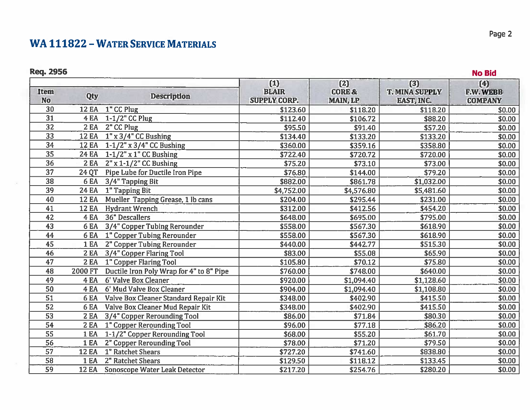## **WA 111822 - WATER SERVICE MATERIALS**

## **Req. 2956**

| <b>Item</b><br><b>No</b> | Qty          | <b>Description</b>                       | $(1)$<br><b>BLAIR</b><br><b>SUPPLY CORP.</b> | (2)<br><b>CORE &amp;</b><br><b>MAIN, LP</b> | $(3)$<br><b>T. MINA SUPPLY</b><br>EAST, INC. | (4)<br>F.W. WEBB<br><b>COMPANY</b> |
|--------------------------|--------------|------------------------------------------|----------------------------------------------|---------------------------------------------|----------------------------------------------|------------------------------------|
| 30                       | <b>12 EA</b> | 1" CC Plug                               | \$123.60                                     | \$118.20                                    | \$118.20                                     | \$0.00                             |
| 31                       | 4 EA         | $1-1/2$ " CC Plug                        | \$112.40                                     | \$106.72                                    | \$88.20                                      | \$0.00                             |
| 32                       | 2EA          | 2" CC Plug                               | \$95.50                                      | \$91.40                                     | \$57.20                                      | \$0.00                             |
| 33                       | <b>12 EA</b> | $1" \times 3/4"$ CC Bushing              | \$134.40                                     | \$133.20                                    | \$133.20                                     | \$0.00                             |
| $\overline{34}$          | <b>12 EA</b> | $1 - 1/2''$ x 3/4" CC Bushing            | \$360.00                                     | \$359.16                                    | \$358.80                                     | \$0.00                             |
| 35                       | <b>24 EA</b> | $1-1/2$ " x 1" CC Bushing                | \$722.40                                     | \$720.72                                    | \$720.00                                     | \$0.00                             |
| 36                       | 2EA          | $2''$ x 1-1/2" CC Bushing                | \$75.20                                      | \$73.10                                     | \$73.00                                      | \$0.00                             |
| 37                       | 24 QT        | Pipe Lube for Ductile Iron Pipe          | \$76.80                                      | \$144.00                                    | \$79.20                                      | \$0.00                             |
| 38                       | 6 EA         | 3/4" Tapping Bit                         | \$882.00                                     | \$861.78                                    | \$1,032.00                                   | \$0.00                             |
| 39                       | <b>24 EA</b> | 1" Tapping Bit                           | \$4,752.00                                   | \$4,576.80                                  | \$5,481.60                                   | \$0.00                             |
| 40                       | <b>12 EA</b> | Mueller Tapping Grease, 1 lb cans        | \$204.00                                     | \$295.44                                    | \$231.00                                     | \$0.00                             |
| 41                       | <b>12 EA</b> | <b>Hydrant Wrench</b>                    | \$312.00                                     | \$412.56                                    | \$454.20                                     | \$0.00                             |
| $\overline{42}$          | 4 EA         | 36" Descallers                           | \$648.00                                     | \$695.00                                    | \$795.00                                     | \$0.00                             |
| 43                       | 6 EA         | 3/4" Copper Tubing Rerounder             | \$558.00                                     | \$567.30                                    | \$618.90                                     | \$0.00                             |
| 44                       | 6 EA         | 1" Copper Tubing Rerounder               | \$558.00                                     | \$567.30                                    | \$618.90                                     | \$0.00                             |
| 45                       | <b>1 EA</b>  | 2" Copper Tubing Rerounder               | \$440.00                                     | \$442.77                                    | \$515.30                                     | \$0.00                             |
| 46                       | 2EA          | 3/4" Copper Flaring Tool                 | \$83.00                                      | \$55.08                                     | \$65.90                                      | \$0.00                             |
| 47                       | 2EA          | 1" Copper Flaring Tool                   | \$105.80                                     | \$70.12                                     | \$75.80                                      | \$0.00                             |
| 48                       | 2000 FT      | Ductile Iron Poly Wrap for 4" to 8" Pipe | \$760.00                                     | \$748.00                                    | \$640.00                                     | \$0.00                             |
| 49                       | 4 EA         | 6' Valve Box Cleaner                     | \$920.00                                     | \$1,094.40                                  | \$1,128.60                                   | \$0.00                             |
| 50                       | 4 EA         | 6' Mud Valve Box Cleaner                 | \$904.00                                     | \$1,094.40                                  | \$1,108.80                                   | \$0.00                             |
| 51                       | 6 EA         | Valve Box Cleaner Standard Repair Kit    | \$348.00                                     | \$402.90                                    | \$415.50                                     | \$0.00                             |
| 52                       | 6 EA         | Valve Box Cleaner Mud Repair Kit         | \$348.00                                     | \$402.90                                    | \$415.50                                     | \$0.00                             |
| $\overline{53}$          | 2EA          | 3/4" Copper Rerounding Tool              | \$86.00                                      | \$71.84                                     | \$80.30                                      | \$0.00                             |
| $\overline{54}$          | 2EA          | 1" Copper Rerounding Tool                | \$96.00                                      | \$77.18                                     | \$86.20                                      | \$0.00                             |
| 55                       | 1 EA         | 1-1/2" Copper Rerounding Tool            | \$68.00                                      | \$55.20                                     | \$61.70                                      | \$0.00                             |
| 56                       | 1 EA         | 2" Copper Rerounding Tool                | \$78.00                                      | \$71.20                                     | \$79.50                                      | \$0.00                             |
| 57                       | <b>12 EA</b> | 1" Ratchet Shears                        | \$727.20                                     | \$741.60                                    | \$838.80                                     | \$0.00                             |
| 58                       | 1EA          | 2" Ratchet Shears                        | \$129.50                                     | \$118.12                                    | \$133.45                                     | \$0.00                             |
| 59                       |              | 12 EA Sonoscope Water Leak Detector      | \$217.20                                     | \$254.76                                    | \$280.20                                     | \$0.00                             |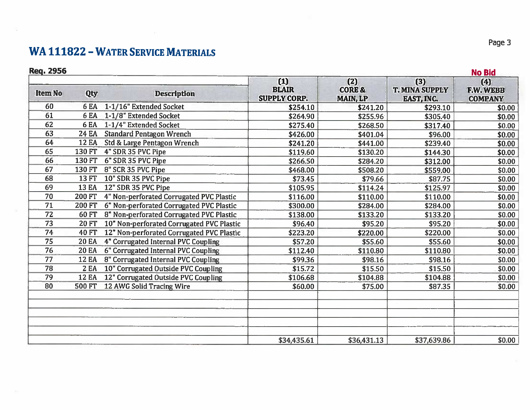## **WA 111822 - WATER SERVICE MATERIALS**

#### Reg. 2956

| <b>Req. 2956</b> |               |                                           |                                            |                                             |                                                     | <b>No Bid</b>                             |
|------------------|---------------|-------------------------------------------|--------------------------------------------|---------------------------------------------|-----------------------------------------------------|-------------------------------------------|
| <b>Item No</b>   | Qty           | <b>Description</b>                        | (1)<br><b>BLAIR</b><br><b>SUPPLY CORP.</b> | (2)<br><b>CORE &amp;</b><br><b>MAIN, LP</b> | $(3)$<br><b>T. MINA SUPPEY</b><br><b>EAST, INC.</b> | (4)<br><b>F.W. WEBB</b><br><b>COMPANY</b> |
| 60               | 6 EA          | 1-1/16" Extended Socket                   | \$254.10                                   | \$241.20                                    | \$293.10                                            | \$0.00                                    |
| 61               | 6 EA          | 1-1/8" Extended Socket                    | \$264.90                                   | \$255.96                                    | \$305.40                                            | \$0.00                                    |
| 62               | 6 EA          | 1-1/4" Extended Socket                    | \$275.40                                   | \$268.50                                    | \$317.40                                            | \$0.00                                    |
| 63               | 24 EA         | <b>Standard Pentagon Wrench</b>           | \$426.00                                   | \$401.04                                    | \$96.00                                             | \$0.00                                    |
| 64               | <b>12 EA</b>  | Std & Large Pentagon Wrench               | \$241.20                                   | \$441.00                                    | \$239.40                                            | \$0.00                                    |
| 65               | <b>130 FT</b> | 4" SDR 35 PVC Pipe                        | \$119.60                                   | \$130.20                                    | \$144.30                                            | \$0.00                                    |
| 66               | 130 FT        | 6" SDR 35 PVC Pipe                        | \$266.50                                   | \$284.20                                    | \$312.00                                            | \$0.00                                    |
| 67               | 130 FT        | 8" SCR 35 PVC Pipe                        | \$468.00                                   | \$508.20                                    | \$559.00                                            | \$0.00                                    |
| 68               | 13 FT         | 10" SDR 35 PVC Pipe                       | \$73.45                                    | \$79.66                                     | \$87.75                                             | \$0.00                                    |
| 69               | <b>13 EA</b>  | 12" SDR 35 PVC Pipe                       | \$105.95                                   | \$114.24                                    | \$125.97                                            | \$0.00                                    |
| 70               | <b>200 FT</b> | 4" Non-perforated Corrugated PVC Plastic  | \$116.00                                   | \$110.00                                    | \$110.00                                            | \$0.00                                    |
| 71               | <b>200 FT</b> | 6" Non-perforated Corrugated PVC Plastic  | \$300.00                                   | \$284.00                                    | \$284.00                                            | \$0.00                                    |
| 72               | 60 FT         | 8" Non-perforated Corrugated PVC Plastic  | \$138.00                                   | \$133.20                                    | \$133.20                                            | \$0.00                                    |
| 73               | <b>20 FT</b>  | 10" Non-perforated Corrugated PVC Plastic | \$96.40                                    | \$95.20                                     | \$95.20                                             | \$0.00                                    |
| 74               | <b>40 FT</b>  | 12" Non-perforated Corrugated PVC Plastic | \$223.20                                   | \$220.00                                    | \$220.00                                            | \$0.00                                    |
| 75               | <b>20 EA</b>  | 4" Corrugated Internal PVC Coupling       | \$57.20                                    | \$55.60                                     | \$55.60                                             | \$0.00                                    |
| 76               | <b>20 EA</b>  | 6" Corrugated Internal PVC Coupling       | \$112.40                                   | \$110.80                                    | \$110.80                                            | \$0.00                                    |
| 77               | <b>12 EA</b>  | 8" Corrugated Internal PVC Coupling       | \$99.36                                    | \$98.16                                     | \$98.16                                             | \$0.00                                    |
| 78               | <b>2 EA</b>   | 10" Corrugated Outside PVC Coupling       | \$15.72                                    | \$15.50                                     | \$15.50                                             | \$0.00                                    |
| 79               | <b>12 EA</b>  | 12" Corrugated Outside PVC Coupling       | \$106.68                                   | \$104.88                                    | \$104.88                                            | \$0.00                                    |
| 80               | <b>500 FT</b> | 12 AWG Solid Tracing Wire                 | \$60.00                                    | \$75.00                                     | \$87.35                                             | \$0.00                                    |
|                  |               |                                           |                                            |                                             |                                                     |                                           |
|                  |               |                                           | \$34,435.61                                | \$36,431.13                                 | \$37,639.86                                         | \$0.00                                    |

Page 3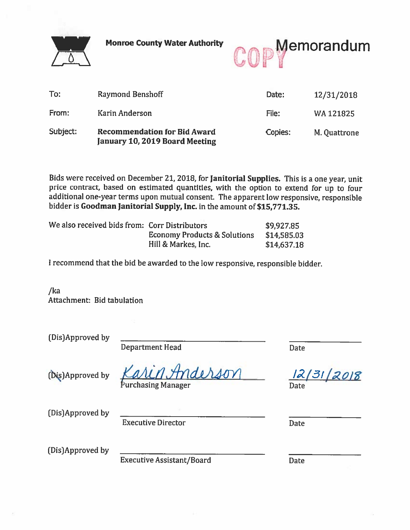

**Monroe County Water Authority** 



| To:      | Raymond Benshoff                                                      | Date:   | 12/31/2018   |
|----------|-----------------------------------------------------------------------|---------|--------------|
| From:    | Karin Anderson                                                        | File:   | WA121825     |
| Subject: | <b>Recommendation for Bid Award</b><br>January 10, 2019 Board Meeting | Copies: | M. Quattrone |

Bids were received on December 21, 2018, for Janitorial Supplies. This is a one year, unit price contract, based on estimated quantities, with the option to extend for up to four additional one-year terms upon mutual consent. The apparent low responsive, responsible bidder is Goodman Janitorial Supply, Inc. in the amount of \$15,771.35.

| We also received bids from: Corr Distributors |                                         | \$9,927.85  |
|-----------------------------------------------|-----------------------------------------|-------------|
|                                               | <b>Economy Products &amp; Solutions</b> | \$14,585.03 |
|                                               | Hill & Markes, Inc.                     | \$14,637.18 |

I recommend that the bid be awarded to the low responsive, responsible bidder.

 $/ka$ Attachment: Bid tabulation

| (Dis)Approved by | <b>Department Head</b>           | Date               |
|------------------|----------------------------------|--------------------|
| (Dis)Approved by | Karin Anderson                   | 12/31/2018<br>Date |
| (Dis)Approved by | <b>Executive Director</b>        | Date               |
| (Dis)Approved by | <b>Executive Assistant/Board</b> | Date               |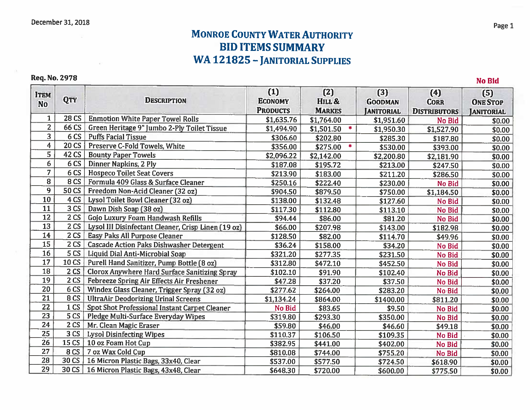## **MONROE COUNTY WATER AUTHORITY BID ITEMS SHMMARY WA 121825 - JANITORIAL SUPPLIES**

**Req. No. 2978** 

 $(1)$  $(2)$  $(3)$  $(4)$  $(5)$ **ITEM OTY DESCRIPTION ECONOMY** HILL & **GOODMAN CORR ONE STOP No PRODUCTS MARKES JANITORIAL DISTRIBUTORS JANITORIAL**  $\mathbf{1}$ **28 CS Enmotion White Paper Towel Rolls** \$1,635.76 \$1.764.00 \$1,951.60 No Bid \$0.00  $\overline{2}$  $66^{\circ}$ CS Green Heritage 9" Jumbo 2-Ply Toilet Tissue \$1,494.90  $$1,501.50$ \$1,950.30 \$1,527.90 \$0.00  $\overline{3}$ **Puffs Facial Tissue**  $6CS$ \$306.60 \$202.80 \$285.30 \$187.80 \$0.00  $20CS$  $\overline{4}$ Preserve C-Fold Towels, White \$356.00 \$275.00  $\mathcal{M}$ \$530.00 \$393.00  $$0.00$  $\overline{5}$  $42CS$ **Bounty Paper Towels** \$2,096.22 \$2,142.00 \$2.200.80  $$2.181.90$  $$0.00$  $6$  $6CS$ Dinner Napkins, 2 Ply \$187.08 \$195.72 \$213.00 \$247.50  $$0.00$  $\overline{7}$  $6<sub>CS</sub>$ **Hospeco Toilet Seat Covers** \$213.90 \$183.00 \$211.20 \$286.50 \$0.00  $\overline{8}$  $8<sub>CS</sub>$ Formula 409 Glass & Surface Cleaner \$250.16 \$222.40 \$230.00 No Bid \$0.00  $\overline{9}$ 50 CS Freedom Non-Acid Cleaner (32 oz) \$904.50 \$879.50 \$750.00 \$1,184.50 \$0.00  $\overline{10}$ 4 CS Lysol Toilet Bowl Cleaner [32 oz] \$138.00  $$132.48$ \$127.60 No Bid  $$0.00$  $\overline{11}$  $3<sub>cs</sub>$ Dawn Dish Soap (38 oz) \$117.30 \$112.80 \$113.10 No Bid \$0.00 12  $2$  CS Gojo Luxury Foam Handwash Refills \$94.44 \$81.20 \$86.00 **No Bid** \$0.00  $\overline{13}$ 2 CS Lysol III Disinfectant Cleaner, Crisp Linen (19 oz) \$66.00 \$207.98 \$143.00 \$182.98 \$0.00 14  $2<sub>cs</sub>$ **Easy Paks All Purpose Cleaner** \$128.50 \$82.00 \$114.70 \$49.96 \$0.00 15  $2CS$ **Cascade Action Paks Dishwasher Detergent**  $$36.24$ \$34.20 \$158.00 No Bid  $$0.00$ 16  $5<sub>cs</sub>$ Liquid Dial Anti-Microbial Soap \$321.20 \$277.35 \$231.50 No Bid \$0.00 17 **10 CS** Purell Hand Sanitizer, Pump Bottle (8 oz) \$312.80  $$472.10$ \$452.50 No Bid \$0.00 18  $2<sub>cs</sub>$ Clorox Anywhere Hard Surface Sanitizing Spray  $$102.10$ \$91.90 \$102.40 No Bid \$0.00 19  $2<sub>cs</sub>$ Febreeze Spring Air Effects Air Freshener  $$47.28$  $$37.20$ \$37.50 No Bid \$0.00 20 6 CS Windex Glass Cleaner, Trigger Spray (32 oz) \$277.62 \$264.00 \$283.20 **No Bid** \$0.00  $\overline{21}$ 8<sub>CS</sub> **UltraAir Deodorizing Urinal Screens** \$1,134.24 \$864.00 \$1400.00 \$811.20 \$0.00 22 1 CS Spot Shot Professional Instant Carpet Cleaner No Bid \$83.65 \$9.50  $$0.00$ No Bid  $23$  $5<sub>CS</sub>$ Pledge Multi-Surface Everyday Wipes \$319.80 \$293.30 \$350.00 \$0.00 No Bid 24  $2<sub>CS</sub>$ Mr. Clean Magic Eraser \$59.80 \$46.00 \$46.60 \$49.18 \$0.00  $\overline{25}$  $3<sub>cs</sub>$ **Lysol Disinfecting Wipes** \$110.37 \$106.50 \$109.35 No Bid \$0.00 26 15 CS 10 oz Foam Hot Cup \$382.95 \$441.00 \$402.00 No Bid \$0.00 8 CS 7 oz Wax Cold Cup 27 \$810.08 \$744.00 \$755.20 No Bid \$0.00 30 CS | 16 Micron Plastic Bags, 33x40, Clear 28 \$537.00 \$577.50 \$724.50 \$618.90 \$0.00  $\overline{29}$ 30 CS 16 Micron Plastic Bags, 43x48, Clear \$648.30 \$720.00 \$600.00 \$775.50 \$0.00

Page 1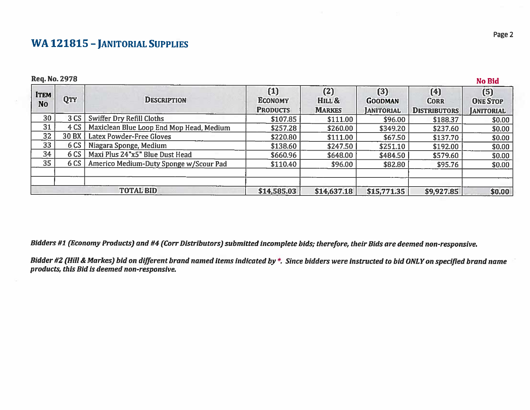## **WA 121815 - JANITORIAL SUPPLIES**

**Req. No. 2978** 

#### $(1)$  $(2)$  $(3)$  $(4)$  $(5)$ **ITEM OTY DESCRIPTION ECONOMY** HILL & **GOODMAN CORR ONE STOP No PRODUCTS MARKES JANITORIAL DISTRIBUTORS JANITORIAL** 30  $3CS$ **Swiffer Dry Refill Cloths** \$107.85 \$111.00 \$96.00 \$188.37 \$0.00  $\overline{31}$  $4CS$ Maxiclean Blue Loop End Mop Head, Medium \$257.28 \$260.00 \$349.20 \$237.60  $$0.00$  $\overline{32}$ **30 BX** Latex Powder-Free Gloves \$220.80  $$111.00$  $$67.50$ \$137.70  $$0.00$  $\frac{1}{33}$ 6 CS | Niagara Sponge, Medium \$138.60 \$247.50 \$251.10 \$192.00  $$0.00$  $\overline{34}$  $6CS$ Maxi Plus 24"x5" Blue Dust Head \$660.96 \$648.00 \$484.50 \$579.60 \$0.00  $\overline{35}$  $6CS$ Americo Medium-Duty Sponge w/Scour Pad \$110.40  $$96.00$ \$82.80 \$95.76 \$0.00 **TOTAL BID** \$14,585.03 \$14,637.18 \$15,771.35 \$9,927.85 \$0.00

Bidders #1 (Economy Products) and #4 (Corr Distributors) submitted incomplete bids; therefore, their Bids are deemed non-responsive.

Bidder #2 (Hill & Markes) bid on different brand named items indicated by \*. Since bidders were instructed to bid ONLY on specified brand name products, this Bid is deemed non-responsive.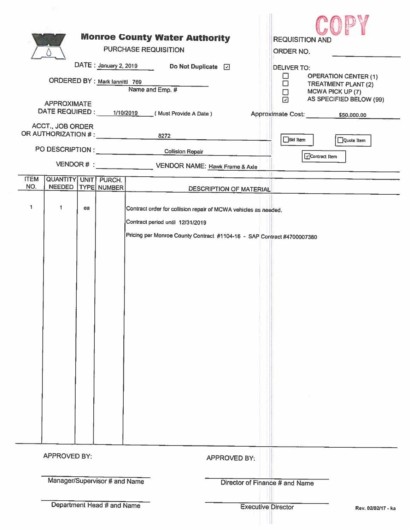| ORDERED BY : Mark lannittl 769<br><b>APPROXIMATE</b><br>DATE REQUIRED : 1/10/2019 (Must Provide A Date)<br>ACCT., JOB ORDER<br>OR AUTHORIZATION # : 4272<br>PO DESCRIPTION : COLLISION Collision Repair | <b>Monroe County Water Authority</b><br><b>PURCHASE REQUISITION</b><br>DATE : January 2, 2019<br>Name and Emp. # | <b>REQUISITION AND</b><br>ORDER NO.<br><b>DELIVER TO:</b><br><b>OPERATION CENTER (1)</b><br>⊔<br>$\Box$<br>TREATMENT PLANT (2)<br>$\Box$<br>MCWA PICK UP (7)<br>AS SPECIFIED BELOW (99)<br>$\Box$<br>Approximate Cost: 550,000.00<br>$\Box$ Bid Item<br>Quote Item |                                                 |  |
|---------------------------------------------------------------------------------------------------------------------------------------------------------------------------------------------------------|------------------------------------------------------------------------------------------------------------------|--------------------------------------------------------------------------------------------------------------------------------------------------------------------------------------------------------------------------------------------------------------------|-------------------------------------------------|--|
| Contract Item                                                                                                                                                                                           |                                                                                                                  |                                                                                                                                                                                                                                                                    |                                                 |  |
| <b>ITEM</b><br>QUANTITY UNIT PURCH.<br>NO.<br>NEEDED   TYPE NUMBER                                                                                                                                      |                                                                                                                  | <b>DESCRIPTION OF MATERIAL</b>                                                                                                                                                                                                                                     |                                                 |  |
| 1<br>1<br>ea                                                                                                                                                                                            |                                                                                                                  | Contract order for collision repair of MCWA vehicles as needed.<br>Contract period until 12/31/2019<br>Pricing per Monroe County Contract #1104-16 - SAP Contract #4700007380                                                                                      |                                                 |  |
| <b>APPROVED BY:</b>                                                                                                                                                                                     |                                                                                                                  |                                                                                                                                                                                                                                                                    | APPROVED BY:                                    |  |
| Manager/Supervisor # and Name                                                                                                                                                                           |                                                                                                                  |                                                                                                                                                                                                                                                                    | Director of Finance # and Name                  |  |
|                                                                                                                                                                                                         | Department Head # and Name                                                                                       |                                                                                                                                                                                                                                                                    | <b>Executive Director</b><br>Rev. 02/02/17 - ka |  |